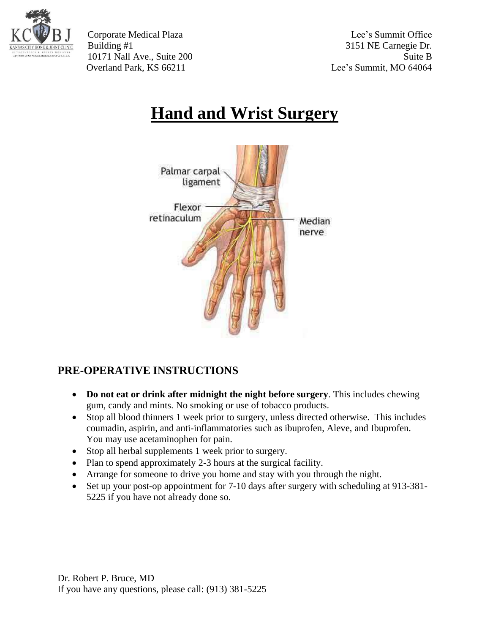

Corporate Medical Plaza Lee's Summit Office Building #1 3151 NE Carnegie Dr. 10171 Nall Ave., Suite 200 Suite B Overland Park, KS 66211 Lee's Summit, MO 64064

## **Hand and Wrist Surgery**



## **PRE-OPERATIVE INSTRUCTIONS**

- **Do not eat or drink after midnight the night before surgery**. This includes chewing gum, candy and mints. No smoking or use of tobacco products.
- Stop all blood thinners 1 week prior to surgery, unless directed otherwise. This includes coumadin, aspirin, and anti-inflammatories such as ibuprofen, Aleve, and Ibuprofen. You may use acetaminophen for pain.
- Stop all herbal supplements 1 week prior to surgery.
- Plan to spend approximately 2-3 hours at the surgical facility.
- Arrange for someone to drive you home and stay with you through the night.
- Set up your post-op appointment for 7-10 days after surgery with scheduling at 913-381-5225 if you have not already done so.